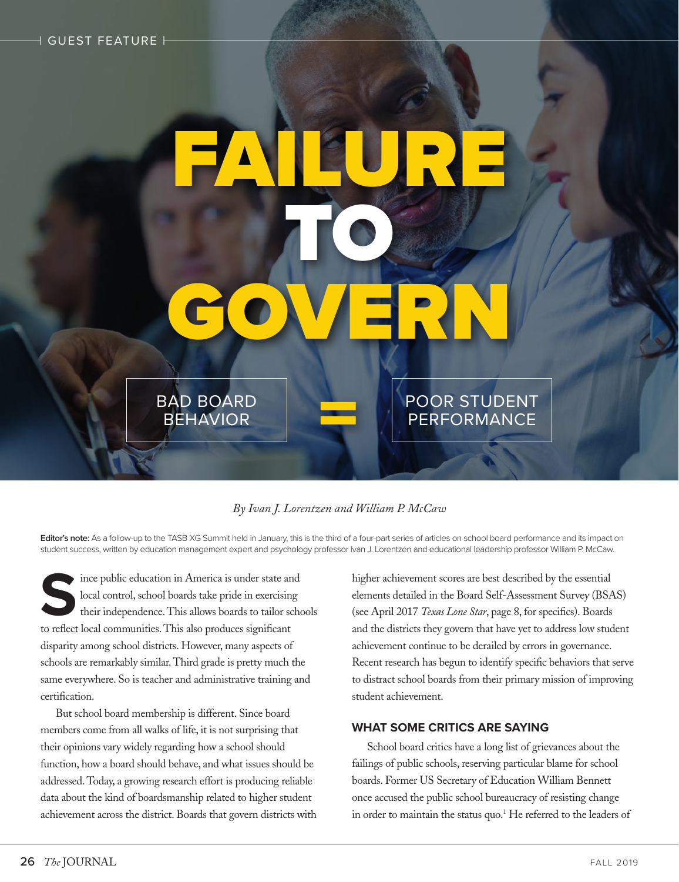# FAILURE, TO & GOVERN POOR STUDENT PERFORMANCE BAD BOARD BEHAVIOR

# *By Ivan J. Lorentzen and William P. McCaw*

Editor's note: As a follow-up to the TASB XG Summit held in January, this is the third of a four-part series of articles on school board performance and its impact on student success, written by education management expert and psychology professor Ivan J. Lorentzen and educational leadership professor William P. McCaw.

Since public education in America is under state and<br>local control, school boards take pride in exercising<br>their independence. This also produces significant<br>to reflect local communities. This also produces significant local control, school boards take pride in exercising their independence. This allows boards to tailor schools to reflect local communities. This also produces significant disparity among school districts. However, many aspects of schools are remarkably similar. Third grade is pretty much the same everywhere. So is teacher and administrative training and certification.

But school board membership is different. Since board members come from all walks of life, it is not surprising that their opinions vary widely regarding how a school should function, how a board should behave, and what issues should be addressed. Today, a growing research effort is producing reliable data about the kind of boardsmanship related to higher student achievement across the district. Boards that govern districts with higher achievement scores are best described by the essential elements detailed in the Board Self-Assessment Survey (BSAS) (see April 2017 *Texas Lone Star*, page 8, for specifics). Boards and the districts they govern that have yet to address low student achievement continue to be derailed by errors in governance. Recent research has begun to identify specific behaviors that serve to distract school boards from their primary mission of improving student achievement.

### **WHAT SOME CRITICS ARE SAYING**

School board critics have a long list of grievances about the failings of public schools, reserving particular blame for school boards. Former US Secretary of Education William Bennett once accused the public school bureaucracy of resisting change in order to maintain the status quo.<sup>1</sup> He referred to the leaders of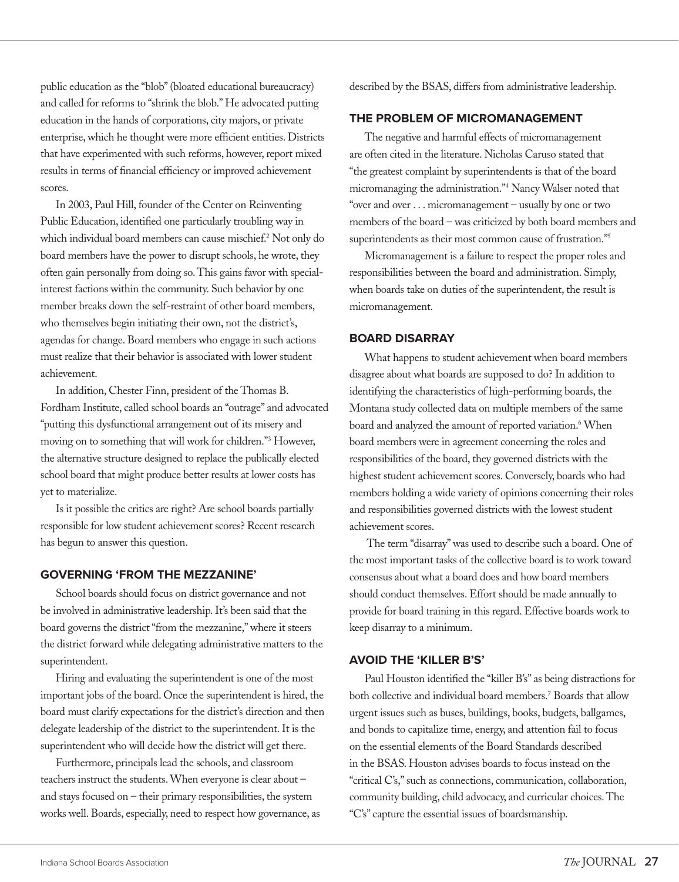public education as the "blob" (bloated educational bureaucracy) and called for reforms to "shrink the blob." He advocated putting education in the hands of corporations, city majors, or private enterprise, which he thought were more efficient entities. Districts that have experimented with such reforms, however, report mixed results in terms of financial efficiency or improved achievement scores.

In 2003, Paul Hill, founder of the Center on Reinventing Public Education, identified one particularly troubling way in which individual board members can cause mischief.2 Not only do board members have the power to disrupt schools, he wrote, they often gain personally from doing so. This gains favor with specialinterest factions within the community. Such behavior by one member breaks down the self-restraint of other board members, who themselves begin initiating their own, not the district's, agendas for change. Board members who engage in such actions must realize that their behavior is associated with lower student achievement.

In addition, Chester Finn, president of the Thomas B. Fordham Institute, called school boards an "outrage" and advocated "putting this dysfunctional arrangement out of its misery and moving on to something that will work for children."3 However, the alternative structure designed to replace the publically elected school board that might produce better results at lower costs has yet to materialize.

Is it possible the critics are right? Are school boards partially responsible for low student achievement scores? Recent research has begun to answer this question.

#### **GOVERNING 'FROM THE MEZZANINE'**

School boards should focus on district governance and not be involved in administrative leadership. It's been said that the board governs the district "from the mezzanine," where it steers the district forward while delegating administrative matters to the superintendent.

Hiring and evaluating the superintendent is one of the most important jobs of the board. Once the superintendent is hired, the board must clarify expectations for the district's direction and then delegate leadership of the district to the superintendent. It is the superintendent who will decide how the district will get there.

Furthermore, principals lead the schools, and classroom teachers instruct the students. When everyone is clear about – and stays focused on – their primary responsibilities, the system works well. Boards, especially, need to respect how governance, as described by the BSAS, differs from administrative leadership.

# **THE PROBLEM OF MICROMANAGEMENT**

The negative and harmful effects of micromanagement are often cited in the literature. Nicholas Caruso stated that "the greatest complaint by superintendents is that of the board micromanaging the administration."4 Nancy Walser noted that "over and over . . . micromanagement – usually by one or two members of the board – was criticized by both board members and superintendents as their most common cause of frustration."<sup>5</sup>

Micromanagement is a failure to respect the proper roles and responsibilities between the board and administration. Simply, when boards take on duties of the superintendent, the result is micromanagement.

#### **BOARD DISARRAY**

What happens to student achievement when board members disagree about what boards are supposed to do? In addition to identifying the characteristics of high-performing boards, the Montana study collected data on multiple members of the same board and analyzed the amount of reported variation.<sup>6</sup> When board members were in agreement concerning the roles and responsibilities of the board, they governed districts with the highest student achievement scores. Conversely, boards who had members holding a wide variety of opinions concerning their roles and responsibilities governed districts with the lowest student achievement scores.

 The term "disarray" was used to describe such a board. One of the most important tasks of the collective board is to work toward consensus about what a board does and how board members should conduct themselves. Effort should be made annually to provide for board training in this regard. Effective boards work to keep disarray to a minimum.

#### **AVOID THE 'KILLER B'S'**

Paul Houston identified the "killer B's" as being distractions for both collective and individual board members.7 Boards that allow urgent issues such as buses, buildings, books, budgets, ballgames, and bonds to capitalize time, energy, and attention fail to focus on the essential elements of the Board Standards described in the BSAS. Houston advises boards to focus instead on the "critical C's," such as connections, communication, collaboration, community building, child advocacy, and curricular choices. The "C's" capture the essential issues of boardsmanship.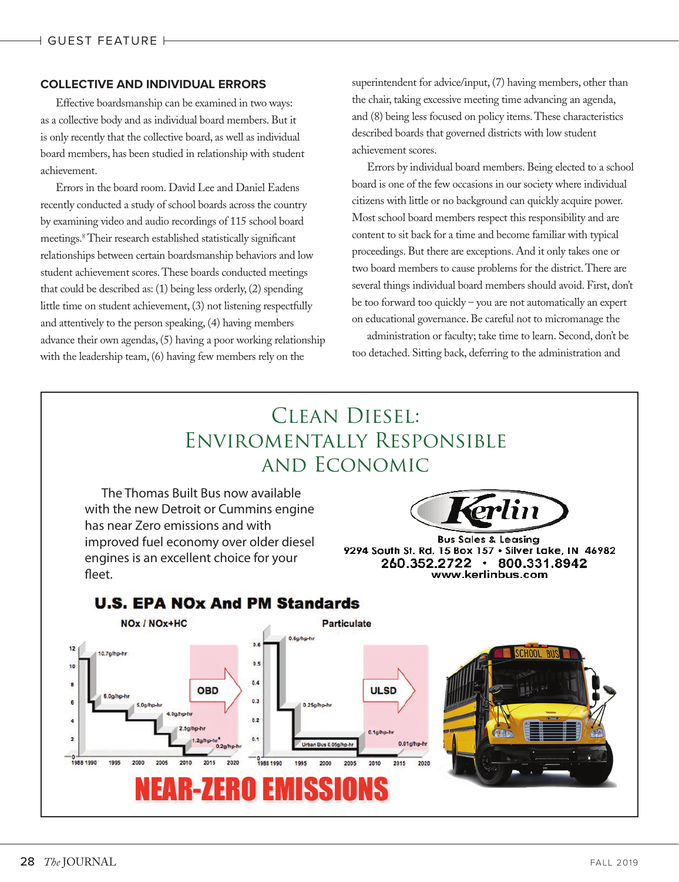# **COLLECTIVE AND INDIVIDUAL ERRORS**

Effective boardsmanship can be examined in two ways: as a collective body and as individual board members. But it is only recently that the collective board, as well as individual board members, has been studied in relationship with student achievement.

Errors in the board room. David Lee and Daniel Eadens recently conducted a study of school boards across the country by examining video and audio recordings of 115 school board meetings.8 Their research established statistically significant relationships between certain boardsmanship behaviors and low student achievement scores. These boards conducted meetings that could be described as: (1) being less orderly, (2) spending little time on student achievement, (3) not listening respectfully and attentively to the person speaking, (4) having members advance their own agendas, (5) having a poor working relationship with the leadership team, (6) having few members rely on the

superintendent for advice/input, (7) having members, other than the chair, taking excessive meeting time advancing an agenda, and (8) being less focused on policy items. These characteristics described boards that governed districts with low student achievement scores.

Errors by individual board members. Being elected to a school board is one of the few occasions in our society where individual citizens with little or no background can quickly acquire power. Most school board members respect this responsibility and are content to sit back for a time and become familiar with typical proceedings. But there are exceptions. And it only takes one or two board members to cause problems for the district. There are several things individual board members should avoid. First, don't be too forward too quickly – you are not automatically an expert on educational governance. Be careful not to micromanage the

administration or faculty; take time to learn. Second, don't be too detached. Sitting back, deferring to the administration and

# Clean Diesel: Enviromentally Responsible and Economic

 The Thomas Built Bus now available with the new Detroit or Cummins engine has near Zero emissions and with improved fuel economy over older diesel engines is an excellent choice for your fleet



**Bus Sales & Leasina** 9294 South St. Rd. 15 Box 157 . Silver Lake, IN 46982 260.352.2722 · 800.331.8942 www.kerlinbus.com



# **U.S. EPA NOx And PM Standards**